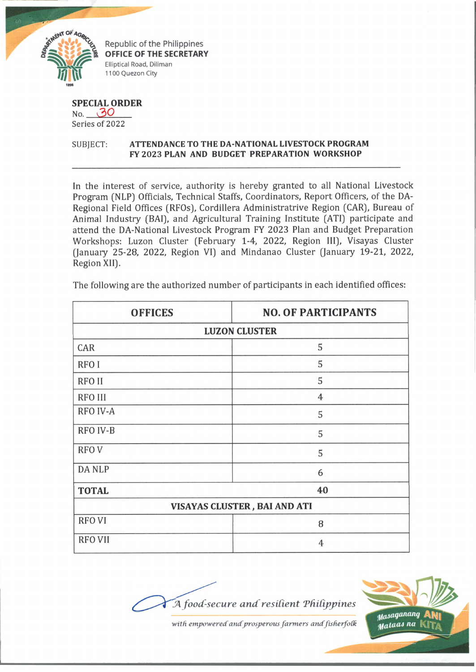

Republic of the Philippines **OFFICE OF THE SECRETARY** Elliptical Road, Diliman 1100 Quezon City

## **SPECIAL ORDER**

No.  $30$ Series of 2022

## SUBJECT: **ATTENDANCE TO THE DA-NATIONAL LIVESTOCK PROGRAM FY 2023 PLAN AND BUDGET PREPARATION WORKSHOP**

In the interest of service, authority is hereby granted to all National Livestock Program (NLP) Officials, Technical Staffs, Coordinators, Report Officers, of the DA-Regional Field Offices (RFOs), Cordillera Administratrive Region (CAR), Bureau of Animal Industry (BAI), and Agricultural Training Institute (ATI) participate and attend the DA-National Livestock Program FY 2023 Plan and Budget Preparation Workshops: Luzon Cluster (February 1-4, 2022, Region III), Visayas Cluster (January 25-28, 2022, Region VI) and Mindanao Cluster (January 19-21, 2022, Region XII).

| <b>OFFICES</b>               | <b>NO. OF PARTICIPANTS</b> |
|------------------------------|----------------------------|
| <b>LUZON CLUSTER</b>         |                            |
| CAR                          | 5                          |
| RFO I                        | 5                          |
| <b>RFOII</b>                 | 5                          |
| <b>RFO III</b>               | $\overline{4}$             |
| RFO IV-A                     | 5                          |
| RFO IV-B                     | 5                          |
| <b>RFOV</b>                  | 5                          |
| <b>DANLP</b>                 | 6                          |
| <b>TOTAL</b>                 | 40                         |
| VISAYAS CLUSTER, BAI AND ATI |                            |
| <b>RFOVI</b>                 | 8                          |
| <b>RFO VII</b>               | 4                          |

The following are the authorized number of participants in each identified offices:

**J4** *food-secure and resident Thidjopines*